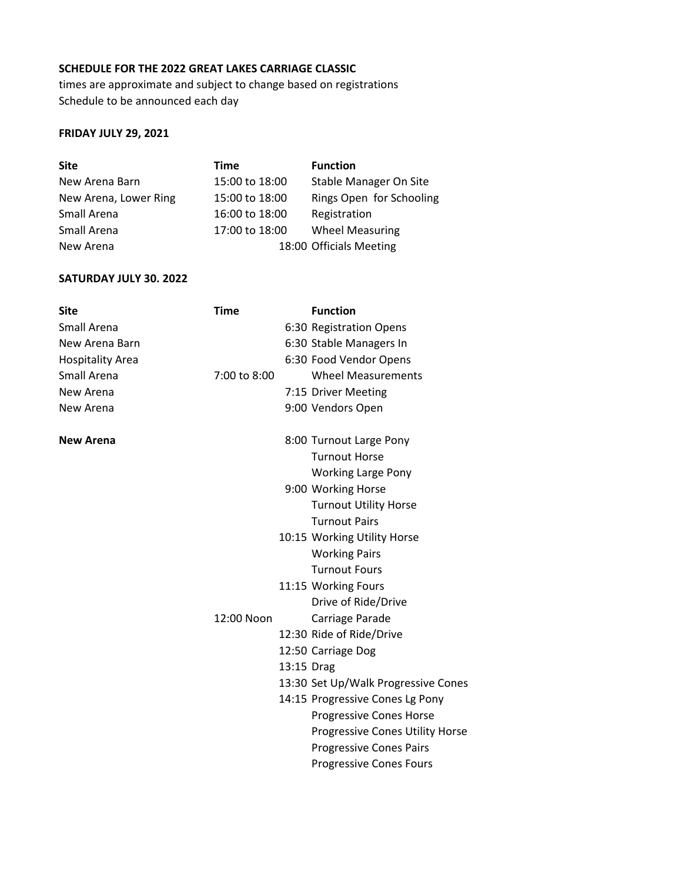## **SCHEDULE FOR THE 2022 GREAT LAKES CARRIAGE CLASSIC**

times are approximate and subject to change based on registrations Schedule to be announced each day

## **FRIDAY JULY 29, 2021**

| <b>Site</b>           | Time           | <b>Function</b>          |
|-----------------------|----------------|--------------------------|
| New Arena Barn        | 15:00 to 18:00 | Stable Manager On Site   |
| New Arena, Lower Ring | 15:00 to 18:00 | Rings Open for Schooling |
| Small Arena           | 16:00 to 18:00 | Registration             |
| Small Arena           | 17:00 to 18:00 | <b>Wheel Measuring</b>   |
| New Arena             |                | 18:00 Officials Meeting  |

## **SATURDAY JULY 30. 2022**

| Site                    | <b>Time</b>  |            | <b>Function</b>                     |
|-------------------------|--------------|------------|-------------------------------------|
| Small Arena             |              |            | 6:30 Registration Opens             |
| New Arena Barn          |              |            | 6:30 Stable Managers In             |
| <b>Hospitality Area</b> |              |            | 6:30 Food Vendor Opens              |
| Small Arena             | 7:00 to 8:00 |            | <b>Wheel Measurements</b>           |
| New Arena               |              |            | 7:15 Driver Meeting                 |
| New Arena               |              |            | 9:00 Vendors Open                   |
| New Arena               |              |            | 8:00 Turnout Large Pony             |
|                         |              |            | <b>Turnout Horse</b>                |
|                         |              |            | <b>Working Large Pony</b>           |
|                         |              |            | 9:00 Working Horse                  |
|                         |              |            | <b>Turnout Utility Horse</b>        |
|                         |              |            | <b>Turnout Pairs</b>                |
|                         |              |            | 10:15 Working Utility Horse         |
|                         |              |            | <b>Working Pairs</b>                |
|                         |              |            | <b>Turnout Fours</b>                |
|                         |              |            | 11:15 Working Fours                 |
|                         |              |            | Drive of Ride/Drive                 |
|                         | 12:00 Noon   |            | Carriage Parade                     |
|                         |              |            | 12:30 Ride of Ride/Drive            |
|                         |              |            | 12:50 Carriage Dog                  |
|                         |              | 13:15 Drag |                                     |
|                         |              |            | 13:30 Set Up/Walk Progressive Cones |
|                         |              |            | 14:15 Progressive Cones Lg Pony     |
|                         |              |            | <b>Progressive Cones Horse</b>      |
|                         |              |            | Progressive Cones Utility Horse     |
|                         |              |            | <b>Progressive Cones Pairs</b>      |
|                         |              |            | <b>Progressive Cones Fours</b>      |
|                         |              |            |                                     |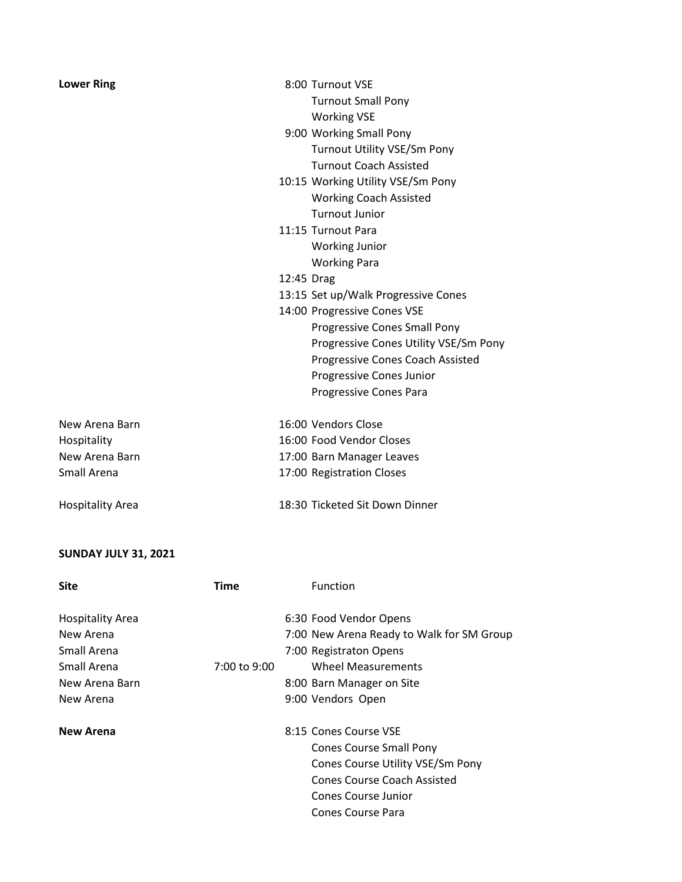| <b>Lower Ring</b>       | 8:00 Turnout VSE                        |
|-------------------------|-----------------------------------------|
|                         | <b>Turnout Small Pony</b>               |
|                         | <b>Working VSE</b>                      |
|                         | 9:00 Working Small Pony                 |
|                         | <b>Turnout Utility VSE/Sm Pony</b>      |
|                         | <b>Turnout Coach Assisted</b>           |
|                         | 10:15 Working Utility VSE/Sm Pony       |
|                         | <b>Working Coach Assisted</b>           |
|                         | Turnout Junior                          |
|                         | 11:15 Turnout Para                      |
|                         | <b>Working Junior</b>                   |
|                         | <b>Working Para</b>                     |
|                         | 12:45 Drag                              |
|                         | 13:15 Set up/Walk Progressive Cones     |
|                         | 14:00 Progressive Cones VSE             |
|                         | Progressive Cones Small Pony            |
|                         | Progressive Cones Utility VSE/Sm Pony   |
|                         | <b>Progressive Cones Coach Assisted</b> |
|                         | Progressive Cones Junior                |
|                         | Progressive Cones Para                  |
|                         |                                         |
| New Arena Barn          | 16:00 Vendors Close                     |
| Hospitality             | 16:00 Food Vendor Closes                |
| New Arena Barn          | 17:00 Barn Manager Leaves               |
| Small Arena             | 17:00 Registration Closes               |
|                         |                                         |
| <b>Hospitality Area</b> | 18:30 Ticketed Sit Down Dinner          |

## **SUNDAY JULY 31, 2021**

| <b>Site</b>             | Time         | Function                                  |
|-------------------------|--------------|-------------------------------------------|
| <b>Hospitality Area</b> |              | 6:30 Food Vendor Opens                    |
| New Arena               |              | 7:00 New Arena Ready to Walk for SM Group |
| Small Arena             |              | 7:00 Registraton Opens                    |
| Small Arena             | 7:00 to 9:00 | Wheel Measurements                        |
| New Arena Barn          |              | 8:00 Barn Manager on Site                 |
| New Arena               |              | 9:00 Vendors Open                         |
| <b>New Arena</b>        |              | 8:15 Cones Course VSE                     |
|                         |              | <b>Cones Course Small Pony</b>            |
|                         |              | Cones Course Utility VSE/Sm Pony          |
|                         |              | <b>Cones Course Coach Assisted</b>        |
|                         |              | <b>Cones Course Junior</b>                |
|                         |              | Cones Course Para                         |